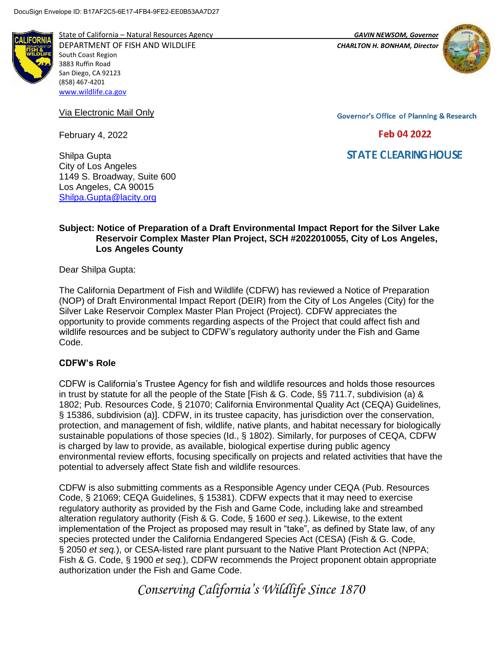

State of California – Natural Resources Agency *GAVIN NEWSOM, Governor* DEPARTMENT OF FISH AND WILDLIFE *CHARLTON H. BONHAM, Director* 

South Coast Region 3883 Ruffin Road San Diego, CA 92123 (858) 467-4201 [www.wildlife.ca.gov](http://www.wildlife.ca.gov/)

Via Electronic Mail Only

February 4, 2022



**Governor's Office of Planning & Research** 

Feb 04 2022

**STATE CLEARING HOUSE** 

Shilpa Gupta City of Los Angeles 1149 S. Broadway, Suite 600 Los Angeles, CA 90015 [Shilpa.Gupta@lacity.org](mailto:Shilpa.Gupta@lacity.org)

### **Subject: Notice of Preparation of a Draft Environmental Impact Report for the Silver Lake Reservoir Complex Master Plan Project, SCH #2022010055, City of Los Angeles, Los Angeles County**

Dear Shilpa Gupta:

The California Department of Fish and Wildlife (CDFW) has reviewed a Notice of Preparation (NOP) of Draft Environmental Impact Report (DEIR) from the City of Los Angeles (City) for the Silver Lake Reservoir Complex Master Plan Project (Project). CDFW appreciates the opportunity to provide comments regarding aspects of the Project that could affect fish and wildlife resources and be subject to CDFW's regulatory authority under the Fish and Game Code.

## **CDFW's Role**

CDFW is California's Trustee Agency for fish and wildlife resources and holds those resources in trust by statute for all the people of the State [Fish & G. Code, §§ 711.7, subdivision (a) & 1802; Pub. Resources Code, § 21070; California Environmental Quality Act (CEQA) Guidelines, § 15386, subdivision (a)]. CDFW, in its trustee capacity, has jurisdiction over the conservation, protection, and management of fish, wildlife, native plants, and habitat necessary for biologically sustainable populations of those species (Id., § 1802). Similarly, for purposes of CEQA, CDFW is charged by law to provide, as available, biological expertise during public agency environmental review efforts, focusing specifically on projects and related activities that have the potential to adversely affect State fish and wildlife resources.

CDFW is also submitting comments as a Responsible Agency under CEQA (Pub. Resources Code, § 21069; CEQA Guidelines, § 15381). CDFW expects that it may need to exercise regulatory authority as provided by the Fish and Game Code, including lake and streambed alteration regulatory authority (Fish & G. Code, § 1600 *et seq*.). Likewise, to the extent implementation of the Project as proposed may result in "take", as defined by State law, of any species protected under the California Endangered Species Act (CESA) (Fish & G. Code, § 2050 *et seq.*), or CESA-listed rare plant pursuant to the Native Plant Protection Act (NPPA; Fish & G. Code, § 1900 *et seq.*), CDFW recommends the Project proponent obtain appropriate authorization under the Fish and Game Code.

*Conserving California's Wildlife Since 1870*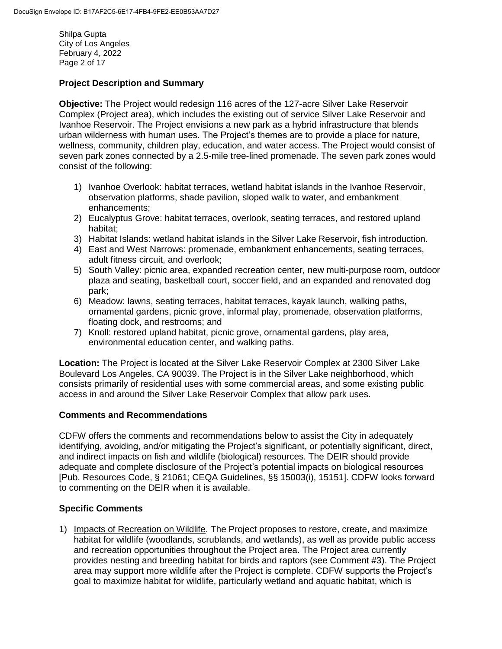Shilpa Gupta City of Los Angeles February 4, 2022 Page 2 of 17

# **Project Description and Summary**

**Objective:** The Project would redesign 116 acres of the 127-acre Silver Lake Reservoir Complex (Project area), which includes the existing out of service Silver Lake Reservoir and Ivanhoe Reservoir. The Project envisions a new park as a hybrid infrastructure that blends urban wilderness with human uses. The Project's themes are to provide a place for nature, wellness, community, children play, education, and water access. The Project would consist of seven park zones connected by a 2.5-mile tree-lined promenade. The seven park zones would consist of the following:

- 1) Ivanhoe Overlook: habitat terraces, wetland habitat islands in the Ivanhoe Reservoir, observation platforms, shade pavilion, sloped walk to water, and embankment enhancements;
- 2) Eucalyptus Grove: habitat terraces, overlook, seating terraces, and restored upland habitat;
- 3) Habitat Islands: wetland habitat islands in the Silver Lake Reservoir, fish introduction.
- 4) East and West Narrows: promenade, embankment enhancements, seating terraces, adult fitness circuit, and overlook;
- 5) South Valley: picnic area, expanded recreation center, new multi-purpose room, outdoor plaza and seating, basketball court, soccer field, and an expanded and renovated dog park;
- 6) Meadow: lawns, seating terraces, habitat terraces, kayak launch, walking paths, ornamental gardens, picnic grove, informal play, promenade, observation platforms, floating dock, and restrooms; and
- 7) Knoll: restored upland habitat, picnic grove, ornamental gardens, play area, environmental education center, and walking paths.

**Location:** The Project is located at the Silver Lake Reservoir Complex at 2300 Silver Lake Boulevard Los Angeles, CA 90039. The Project is in the Silver Lake neighborhood, which consists primarily of residential uses with some commercial areas, and some existing public access in and around the Silver Lake Reservoir Complex that allow park uses.

## **Comments and Recommendations**

CDFW offers the comments and recommendations below to assist the City in adequately identifying, avoiding, and/or mitigating the Project's significant, or potentially significant, direct, and indirect impacts on fish and wildlife (biological) resources. The DEIR should provide adequate and complete disclosure of the Project's potential impacts on biological resources [Pub. Resources Code, § 21061; CEQA Guidelines, §§ 15003(i), 15151]. CDFW looks forward to commenting on the DEIR when it is available.

# **Specific Comments**

1) Impacts of Recreation on Wildlife. The Project proposes to restore, create, and maximize habitat for wildlife (woodlands, scrublands, and wetlands), as well as provide public access and recreation opportunities throughout the Project area. The Project area currently provides nesting and breeding habitat for birds and raptors (see Comment #3). The Project area may support more wildlife after the Project is complete. CDFW supports the Project's goal to maximize habitat for wildlife, particularly wetland and aquatic habitat, which is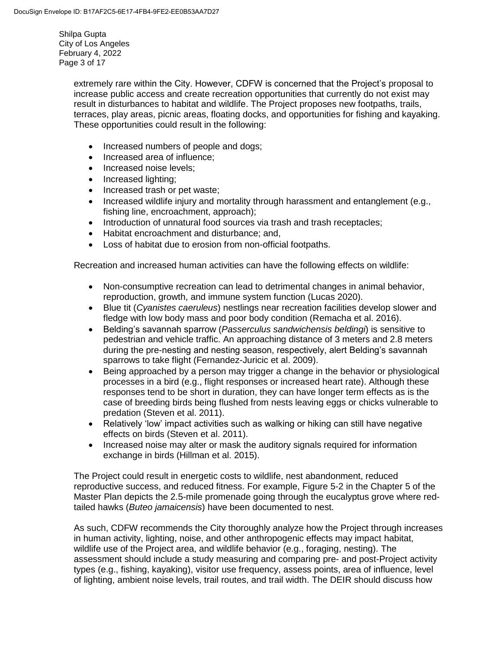Shilpa Gupta City of Los Angeles February 4, 2022 Page 3 of 17

> extremely rare within the City. However, CDFW is concerned that the Project's proposal to increase public access and create recreation opportunities that currently do not exist may result in disturbances to habitat and wildlife. The Project proposes new footpaths, trails, terraces, play areas, picnic areas, floating docks, and opportunities for fishing and kayaking. These opportunities could result in the following:

- Increased numbers of people and dogs;
- Increased area of influence;
- Increased noise levels;
- Increased lighting;
- Increased trash or pet waste;
- Increased wildlife injury and mortality through harassment and entanglement (e.g., fishing line, encroachment, approach);
- Introduction of unnatural food sources via trash and trash receptacles;
- Habitat encroachment and disturbance; and,
- Loss of habitat due to erosion from non-official footpaths.

Recreation and increased human activities can have the following effects on wildlife:

- Non-consumptive recreation can lead to detrimental changes in animal behavior, reproduction, growth, and immune system function (Lucas 2020).
- Blue tit (*Cyanistes caeruleus*) nestlings near recreation facilities develop slower and fledge with low body mass and poor body condition (Remacha et al. 2016).
- Belding's savannah sparrow (*Passerculus sandwichensis beldingi*) is sensitive to pedestrian and vehicle traffic. An approaching distance of 3 meters and 2.8 meters during the pre-nesting and nesting season, respectively, alert Belding's savannah sparrows to take flight (Fernandez-Juricic et al. 2009).
- Being approached by a person may trigger a change in the behavior or physiological processes in a bird (e.g., flight responses or increased heart rate). Although these responses tend to be short in duration, they can have longer term effects as is the case of breeding birds being flushed from nests leaving eggs or chicks vulnerable to predation (Steven et al. 2011).
- Relatively 'low' impact activities such as walking or hiking can still have negative effects on birds (Steven et al. 2011).
- Increased noise may alter or mask the auditory signals required for information exchange in birds (Hillman et al. 2015).

The Project could result in energetic costs to wildlife, nest abandonment, reduced reproductive success, and reduced fitness. For example, Figure 5-2 in the Chapter 5 of the Master Plan depicts the 2.5-mile promenade going through the eucalyptus grove where redtailed hawks (*Buteo jamaicensis*) have been documented to nest.

As such, CDFW recommends the City thoroughly analyze how the Project through increases in human activity, lighting, noise, and other anthropogenic effects may impact habitat, wildlife use of the Project area, and wildlife behavior (e.g., foraging, nesting). The assessment should include a study measuring and comparing pre- and post-Project activity types (e.g., fishing, kayaking), visitor use frequency, assess points, area of influence, level of lighting, ambient noise levels, trail routes, and trail width. The DEIR should discuss how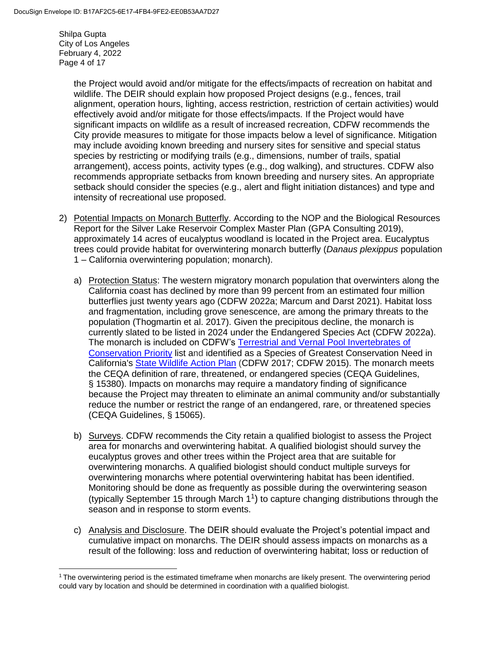Shilpa Gupta City of Los Angeles February 4, 2022 Page 4 of 17

> the Project would avoid and/or mitigate for the effects/impacts of recreation on habitat and wildlife. The DEIR should explain how proposed Project designs (e.g., fences, trail alignment, operation hours, lighting, access restriction, restriction of certain activities) would effectively avoid and/or mitigate for those effects/impacts. If the Project would have significant impacts on wildlife as a result of increased recreation, CDFW recommends the City provide measures to mitigate for those impacts below a level of significance. Mitigation may include avoiding known breeding and nursery sites for sensitive and special status species by restricting or modifying trails (e.g., dimensions, number of trails, spatial arrangement), access points, activity types (e.g., dog walking), and structures. CDFW also recommends appropriate setbacks from known breeding and nursery sites. An appropriate setback should consider the species (e.g., alert and flight initiation distances) and type and intensity of recreational use proposed.

- 2) Potential Impacts on Monarch Butterfly. According to the NOP and the Biological Resources Report for the Silver Lake Reservoir Complex Master Plan (GPA Consulting 2019), approximately 14 acres of eucalyptus woodland is located in the Project area. Eucalyptus trees could provide habitat for overwintering monarch butterfly (*Danaus plexippus* population 1 – California overwintering population; monarch).
	- a) Protection Status: The western migratory monarch population that overwinters along the California coast has declined by more than 99 percent from an estimated four million butterflies just twenty years ago (CDFW 2022a; Marcum and Darst 2021). Habitat loss and fragmentation, including grove senescence, are among the primary threats to the population (Thogmartin et al. 2017). Given the precipitous decline, the monarch is currently slated to be listed in 2024 under the Endangered Species Act (CDFW 2022a). The monarch is included on CDFW's Terrestrial and Vernal Pool [Invertebrates](https://nrm.dfg.ca.gov/FileHandler.ashx?DocumentID=149499&inline) of [Conservation](https://nrm.dfg.ca.gov/FileHandler.ashx?DocumentID=149499&inline) Priority list and identified as a Species of Greatest Conservation Need in California's State [Wildlife](https://wildlife.ca.gov/SWAP/Final) Action Plan (CDFW 2017; CDFW 2015). The monarch meets the CEQA definition of rare, threatened, or endangered species (CEQA Guidelines, § 15380). Impacts on monarchs may require a mandatory finding of significance because the Project may threaten to eliminate an animal community and/or substantially reduce the number or restrict the range of an endangered, rare, or threatened species (CEQA Guidelines, § 15065).
	- b) Surveys. CDFW recommends the City retain a qualified biologist to assess the Project area for monarchs and overwintering habitat. A qualified biologist should survey the eucalyptus groves and other trees within the Project area that are suitable for overwintering monarchs. A qualified biologist should conduct multiple surveys for overwintering monarchs where potential overwintering habitat has been identified. Monitoring should be done as frequently as possible during the overwintering season (typically September 15 through March  $1<sup>1</sup>$ ) to capture changing distributions through the season and in response to storm events.
	- c) Analysis and Disclosure. The DEIR should evaluate the Project's potential impact and cumulative impact on monarchs. The DEIR should assess impacts on monarchs as a result of the following: loss and reduction of overwintering habitat; loss or reduction of

 $\overline{\phantom{a}}$ <sup>1</sup> The overwintering period is the estimated timeframe when monarchs are likely present. The overwintering period could vary by location and should be determined in coordination with a qualified biologist.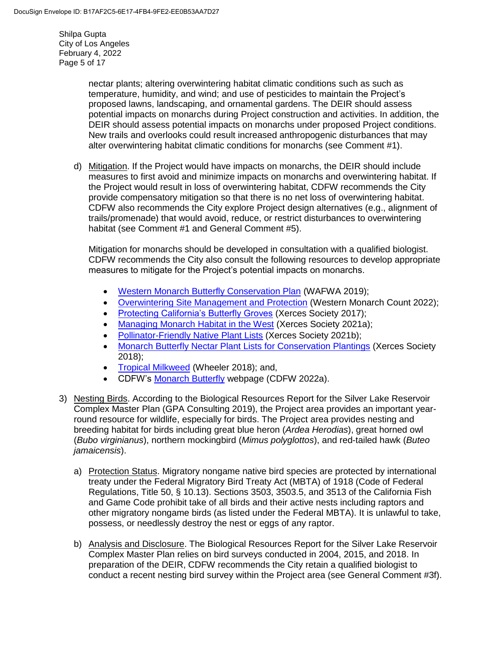Shilpa Gupta City of Los Angeles February 4, 2022 Page 5 of 17

> nectar plants; altering overwintering habitat climatic conditions such as such as temperature, humidity, and wind; and use of pesticides to maintain the Project's proposed lawns, landscaping, and ornamental gardens. The DEIR should assess potential impacts on monarchs during Project construction and activities. In addition, the DEIR should assess potential impacts on monarchs under proposed Project conditions. New trails and overlooks could result increased anthropogenic disturbances that may alter overwintering habitat climatic conditions for monarchs (see Comment #1).

d) Mitigation. If the Project would have impacts on monarchs, the DEIR should include measures to first avoid and minimize impacts on monarchs and overwintering habitat. If the Project would result in loss of overwintering habitat, CDFW recommends the City provide compensatory mitigation so that there is no net loss of overwintering habitat. CDFW also recommends the City explore Project design alternatives (e.g., alignment of trails/promenade) that would avoid, reduce, or restrict disturbances to overwintering habitat (see Comment #1 and General Comment #5).

Mitigation for monarchs should be developed in consultation with a qualified biologist. CDFW recommends the City also consult the following resources to develop appropriate measures to mitigate for the Project's potential impacts on monarchs.

- [Western Monarch Butterfly Conservation Plan](https://wafwa.org/wpdm-package/western-monarch-butterfly-conservation-plan-2019-2069/?ind=1602171186650&filename=WAFWA_Monarch_Conservation_Plan.pdf&wpdmdl=13048&refresh=60f9defee81e21626988286) (WAFWA 2019);
- [Overwintering Site Management and Protection](https://www.westernmonarchcount.org/overwintering-site-management-and-protection/) (Western Monarch Count 2022);
- [Protecting California's Butterfly Groves](https://www.westernmonarchcount.org/wp-content/uploads/2014/11/2017-040_ProtectingCaliforniaButterflyGroves.pdf) (Xerces Society 2017);
- [Managing Monarch Habitat in the West](https://xerces.org/monarchs/western-monarch-conservation/habitat) (Xerces Society 2021a);
- [Pollinator-Friendly Native Plant Lists](https://xerces.org/pollinator-conservation/pollinator-friendly-plant-lists) (Xerces Society 2021b);
- [Monarch Butterfly Nectar Plant Lists for Conservation Plantings](https://xerces.org/sites/default/files/publications/18-003_02_Monarch-Nectar-Plant-Lists-FS_web%20-%20Jessa%20Kay%20Cruz.pdf) (Xerces Society 2018);
- [Tropical Milkweed](https://xerces.org/blog/tropical-milkweed-a-no-grow) (Wheeler 2018); and,
- CDFW's [Monarch Butterfly](https://wildlife.ca.gov/Conservation/Invertebrates/Monarch-Butterfly) webpage (CDFW 2022a).
- 3) Nesting Birds. According to the Biological Resources Report for the Silver Lake Reservoir Complex Master Plan (GPA Consulting 2019), the Project area provides an important yearround resource for wildlife, especially for birds. The Project area provides nesting and breeding habitat for birds including great blue heron (*Ardea Herodias*), great horned owl (*Bubo virginianus*), northern mockingbird (*Mimus polyglottos*), and red-tailed hawk (*Buteo jamaicensis*).
	- a) Protection Status. Migratory nongame native bird species are protected by international treaty under the Federal Migratory Bird Treaty Act (MBTA) of 1918 (Code of Federal Regulations, Title 50, § 10.13). Sections 3503, 3503.5, and 3513 of the California Fish and Game Code prohibit take of all birds and their active nests including raptors and other migratory nongame birds (as listed under the Federal MBTA). It is unlawful to take, possess, or needlessly destroy the nest or eggs of any raptor.
	- b) Analysis and Disclosure. The Biological Resources Report for the Silver Lake Reservoir Complex Master Plan relies on bird surveys conducted in 2004, 2015, and 2018. In preparation of the DEIR, CDFW recommends the City retain a qualified biologist to conduct a recent nesting bird survey within the Project area (see General Comment #3f).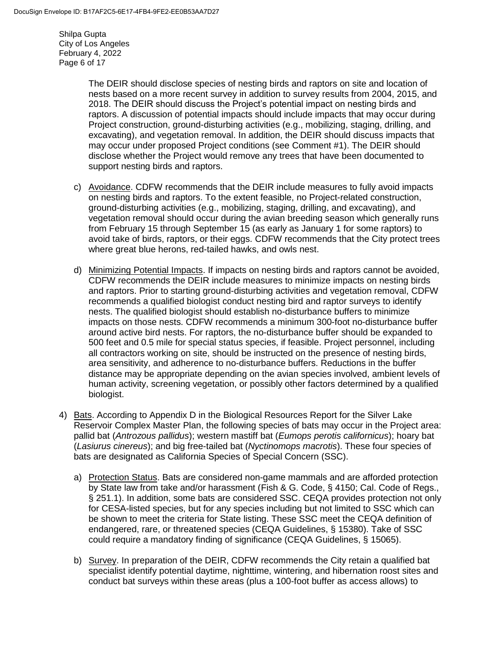Shilpa Gupta City of Los Angeles February 4, 2022 Page 6 of 17

> The DEIR should disclose species of nesting birds and raptors on site and location of nests based on a more recent survey in addition to survey results from 2004, 2015, and 2018. The DEIR should discuss the Project's potential impact on nesting birds and raptors. A discussion of potential impacts should include impacts that may occur during Project construction, ground-disturbing activities (e.g., mobilizing, staging, drilling, and excavating), and vegetation removal. In addition, the DEIR should discuss impacts that may occur under proposed Project conditions (see Comment #1). The DEIR should disclose whether the Project would remove any trees that have been documented to support nesting birds and raptors.

- c) Avoidance. CDFW recommends that the DEIR include measures to fully avoid impacts on nesting birds and raptors. To the extent feasible, no Project-related construction, ground-disturbing activities (e.g., mobilizing, staging, drilling, and excavating), and vegetation removal should occur during the avian breeding season which generally runs from February 15 through September 15 (as early as January 1 for some raptors) to avoid take of birds, raptors, or their eggs. CDFW recommends that the City protect trees where great blue herons, red-tailed hawks, and owls nest.
- d) Minimizing Potential Impacts. If impacts on nesting birds and raptors cannot be avoided, CDFW recommends the DEIR include measures to minimize impacts on nesting birds and raptors. Prior to starting ground-disturbing activities and vegetation removal, CDFW recommends a qualified biologist conduct nesting bird and raptor surveys to identify nests. The qualified biologist should establish no-disturbance buffers to minimize impacts on those nests. CDFW recommends a minimum 300-foot no-disturbance buffer around active bird nests. For raptors, the no-disturbance buffer should be expanded to 500 feet and 0.5 mile for special status species, if feasible. Project personnel, including all contractors working on site, should be instructed on the presence of nesting birds, area sensitivity, and adherence to no-disturbance buffers. Reductions in the buffer distance may be appropriate depending on the avian species involved, ambient levels of human activity, screening vegetation, or possibly other factors determined by a qualified biologist.
- 4) Bats. According to Appendix D in the Biological Resources Report for the Silver Lake Reservoir Complex Master Plan, the following species of bats may occur in the Project area: pallid bat (*Antrozous pallidus*); western mastiff bat (*Eumops perotis californicus*); hoary bat (*Lasiurus cinereus*); and big free-tailed bat (*Nyctinomops macrotis*). These four species of bats are designated as California Species of Special Concern (SSC).
	- a) Protection Status. Bats are considered non-game mammals and are afforded protection by State law from take and/or harassment (Fish & G. Code, § 4150; Cal. Code of Regs., § 251.1). In addition, some bats are considered SSC. CEQA provides protection not only for CESA-listed species, but for any species including but not limited to SSC which can be shown to meet the criteria for State listing. These SSC meet the CEQA definition of endangered, rare, or threatened species (CEQA Guidelines, § 15380). Take of SSC could require a mandatory finding of significance (CEQA Guidelines, § 15065).
	- b) Survey. In preparation of the DEIR, CDFW recommends the City retain a qualified bat specialist identify potential daytime, nighttime, wintering, and hibernation roost sites and conduct bat surveys within these areas (plus a 100-foot buffer as access allows) to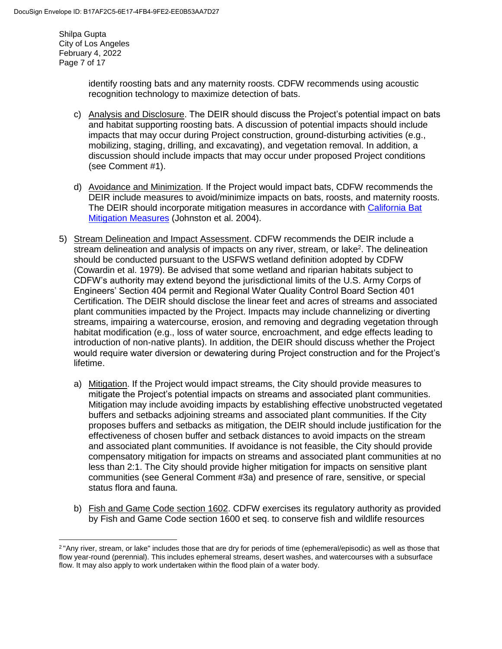Shilpa Gupta City of Los Angeles February 4, 2022 Page 7 of 17

 $\overline{\phantom{a}}$ 

identify roosting bats and any maternity roosts. CDFW recommends using acoustic recognition technology to maximize detection of bats.

- c) Analysis and Disclosure. The DEIR should discuss the Project's potential impact on bats and habitat supporting roosting bats. A discussion of potential impacts should include impacts that may occur during Project construction, ground-disturbing activities (e.g., mobilizing, staging, drilling, and excavating), and vegetation removal. In addition, a discussion should include impacts that may occur under proposed Project conditions (see Comment #1).
- d) Avoidance and Minimization. If the Project would impact bats, CDFW recommends the DEIR include measures to avoid/minimize impacts on bats, roosts, and maternity roosts. The DEIR should incorporate mitigation measures in accordance with [California Bat](https://nrm.dfg.ca.gov/FileHandler.ashx?DocumentID=10334)  [Mitigation Measures](https://nrm.dfg.ca.gov/FileHandler.ashx?DocumentID=10334) (Johnston et al. 2004).
- 5) Stream Delineation and Impact Assessment. CDFW recommends the DEIR include a stream delineation and analysis of impacts on any river, stream, or lake<sup>2</sup>. The delineation should be conducted pursuant to the USFWS wetland definition adopted by CDFW (Cowardin et al. 1979). Be advised that some wetland and riparian habitats subject to CDFW's authority may extend beyond the jurisdictional limits of the U.S. Army Corps of Engineers' Section 404 permit and Regional Water Quality Control Board Section 401 Certification. The DEIR should disclose the linear feet and acres of streams and associated plant communities impacted by the Project. Impacts may include channelizing or diverting streams, impairing a watercourse, erosion, and removing and degrading vegetation through habitat modification (e.g., loss of water source, encroachment, and edge effects leading to introduction of non-native plants). In addition, the DEIR should discuss whether the Project would require water diversion or dewatering during Project construction and for the Project's lifetime.
	- a) Mitigation. If the Project would impact streams, the City should provide measures to mitigate the Project's potential impacts on streams and associated plant communities. Mitigation may include avoiding impacts by establishing effective unobstructed vegetated buffers and setbacks adjoining streams and associated plant communities. If the City proposes buffers and setbacks as mitigation, the DEIR should include justification for the effectiveness of chosen buffer and setback distances to avoid impacts on the stream and associated plant communities. If avoidance is not feasible, the City should provide compensatory mitigation for impacts on streams and associated plant communities at no less than 2:1. The City should provide higher mitigation for impacts on sensitive plant communities (see General Comment #3a) and presence of rare, sensitive, or special status flora and fauna.
	- b) Fish and Game Code section 1602. CDFW exercises its regulatory authority as provided by Fish and Game Code section 1600 et seq. to conserve fish and wildlife resources

<sup>2</sup> "Any river, stream, or lake" includes those that are dry for periods of time (ephemeral/episodic) as well as those that flow year-round (perennial). This includes ephemeral streams, desert washes, and watercourses with a subsurface flow. It may also apply to work undertaken within the flood plain of a water body.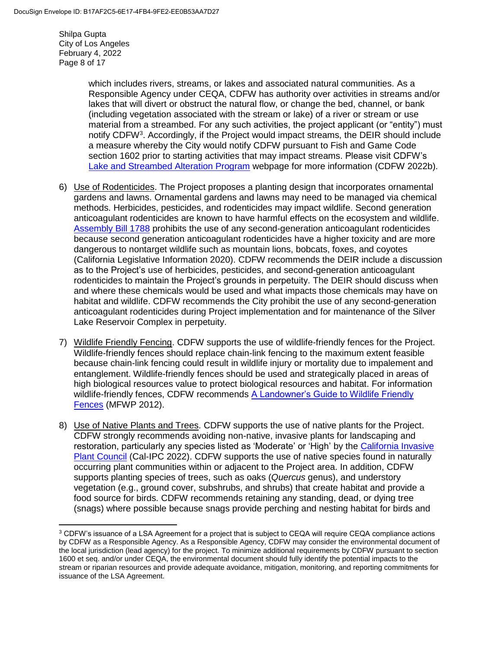Shilpa Gupta City of Los Angeles February 4, 2022 Page 8 of 17

 $\overline{\phantom{a}}$ 

which includes rivers, streams, or lakes and associated natural communities. As a Responsible Agency under CEQA, CDFW has authority over activities in streams and/or lakes that will divert or obstruct the natural flow, or change the bed, channel, or bank (including vegetation associated with the stream or lake) of a river or stream or use material from a streambed. For any such activities, the project applicant (or "entity") must notify CDFW<sup>3</sup>. Accordingly, if the Project would impact streams, the DEIR should include a measure whereby the City would notify CDFW pursuant to Fish and Game Code section 1602 prior to starting activities that may impact streams. Please visit CDFW's [Lake and Streambed Alteration Program](https://wildlife.ca.gov/Conservation/LSA) webpage for more information (CDFW 2022b).

- 6) Use of Rodenticides. The Project proposes a planting design that incorporates ornamental gardens and lawns. Ornamental gardens and lawns may need to be managed via chemical methods. Herbicides, pesticides, and rodenticides may impact wildlife. Second generation anticoagulant rodenticides are known to have harmful effects on the ecosystem and wildlife. [Assembly Bill 1788](https://leginfo.legislature.ca.gov/faces/billTextClient.xhtml?bill_id=201920200AB1788) prohibits the use of any second-generation anticoagulant rodenticides because second generation anticoagulant rodenticides have a higher toxicity and are more dangerous to nontarget wildlife such as mountain lions, bobcats, foxes, and coyotes (California Legislative Information 2020). CDFW recommends the DEIR include a discussion as to the Project's use of herbicides, pesticides, and second-generation anticoagulant rodenticides to maintain the Project's grounds in perpetuity. The DEIR should discuss when and where these chemicals would be used and what impacts those chemicals may have on habitat and wildlife. CDFW recommends the City prohibit the use of any second-generation anticoagulant rodenticides during Project implementation and for maintenance of the Silver Lake Reservoir Complex in perpetuity.
- 7) Wildlife Friendly Fencing. CDFW supports the use of wildlife-friendly fences for the Project. Wildlife-friendly fences should replace chain-link fencing to the maximum extent feasible because chain-link fencing could result in wildlife injury or mortality due to impalement and entanglement. Wildlife-friendly fences should be used and strategically placed in areas of high biological resources value to protect biological resources and habitat. For information wildlife-friendly fences, CDFW recommends [A Landowner's Guide to Wildlife Friendly](https://nrm.dfg.ca.gov/FileHandler.ashx?DocumentID=134713&inline)  [Fences](https://nrm.dfg.ca.gov/FileHandler.ashx?DocumentID=134713&inline) (MFWP 2012).
- 8) Use of Native Plants and Trees. CDFW supports the use of native plants for the Project. CDFW strongly recommends avoiding non-native, invasive plants for landscaping and restoration, particularly any species listed as 'Moderate' or 'High' by the California Invasive [Plant Council](https://www.cal-ipc.org/plants/inventory/) (Cal-IPC 2022). CDFW supports the use of native species found in naturally occurring plant communities within or adjacent to the Project area. In addition, CDFW supports planting species of trees, such as oaks (*Quercus* genus), and understory vegetation (e.g., ground cover, subshrubs, and shrubs) that create habitat and provide a food source for birds. CDFW recommends retaining any standing, dead, or dying tree (snags) where possible because snags provide perching and nesting habitat for birds and

<sup>&</sup>lt;sup>3</sup> CDFW's issuance of a LSA Agreement for a project that is subject to CEQA will require CEQA compliance actions by CDFW as a Responsible Agency. As a Responsible Agency, CDFW may consider the environmental document of the local jurisdiction (lead agency) for the project. To minimize additional requirements by CDFW pursuant to section 1600 et seq. and/or under CEQA, the environmental document should fully identify the potential impacts to the stream or riparian resources and provide adequate avoidance, mitigation, monitoring, and reporting commitments for issuance of the LSA Agreement.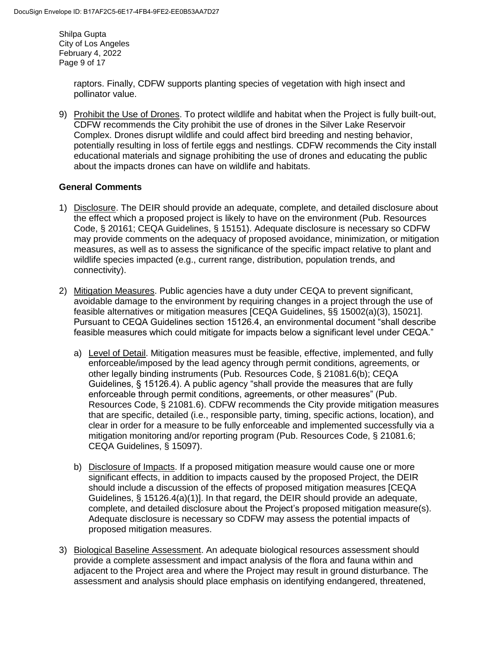Shilpa Gupta City of Los Angeles February 4, 2022 Page 9 of 17

> raptors. Finally, CDFW supports planting species of vegetation with high insect and pollinator value.

9) Prohibit the Use of Drones. To protect wildlife and habitat when the Project is fully built-out, CDFW recommends the City prohibit the use of drones in the Silver Lake Reservoir Complex. Drones disrupt wildlife and could affect bird breeding and nesting behavior, potentially resulting in loss of fertile eggs and nestlings. CDFW recommends the City install educational materials and signage prohibiting the use of drones and educating the public about the impacts drones can have on wildlife and habitats.

# **General Comments**

- 1) Disclosure. The DEIR should provide an adequate, complete, and detailed disclosure about the effect which a proposed project is likely to have on the environment (Pub. Resources Code, § 20161; CEQA Guidelines, § 15151). Adequate disclosure is necessary so CDFW may provide comments on the adequacy of proposed avoidance, minimization, or mitigation measures, as well as to assess the significance of the specific impact relative to plant and wildlife species impacted (e.g., current range, distribution, population trends, and connectivity).
- 2) Mitigation Measures. Public agencies have a duty under CEQA to prevent significant, avoidable damage to the environment by requiring changes in a project through the use of feasible alternatives or mitigation measures [CEQA Guidelines, §§ 15002(a)(3), 15021]. Pursuant to CEQA Guidelines section 15126.4, an environmental document "shall describe feasible measures which could mitigate for impacts below a significant level under CEQA."
	- a) Level of Detail. Mitigation measures must be feasible, effective, implemented, and fully enforceable/imposed by the lead agency through permit conditions, agreements, or other legally binding instruments (Pub. Resources Code, § 21081.6(b); CEQA Guidelines, § 15126.4). A public agency "shall provide the measures that are fully enforceable through permit conditions, agreements, or other measures" (Pub. Resources Code, § 21081.6). CDFW recommends the City provide mitigation measures that are specific, detailed (i.e., responsible party, timing, specific actions, location), and clear in order for a measure to be fully enforceable and implemented successfully via a mitigation monitoring and/or reporting program (Pub. Resources Code, § 21081.6; CEQA Guidelines, § 15097).
	- b) Disclosure of Impacts. If a proposed mitigation measure would cause one or more significant effects, in addition to impacts caused by the proposed Project, the DEIR should include a discussion of the effects of proposed mitigation measures [CEQA Guidelines, § 15126.4(a)(1)]. In that regard, the DEIR should provide an adequate, complete, and detailed disclosure about the Project's proposed mitigation measure(s). Adequate disclosure is necessary so CDFW may assess the potential impacts of proposed mitigation measures.
- 3) Biological Baseline Assessment. An adequate biological resources assessment should provide a complete assessment and impact analysis of the flora and fauna within and adjacent to the Project area and where the Project may result in ground disturbance. The assessment and analysis should place emphasis on identifying endangered, threatened,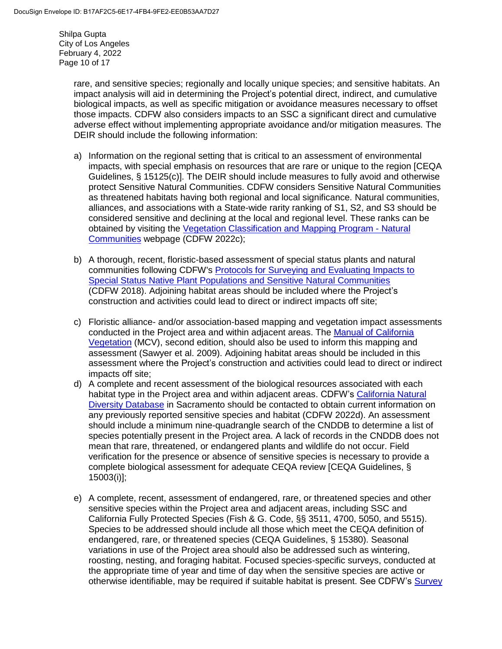Shilpa Gupta City of Los Angeles February 4, 2022 Page 10 of 17

> rare, and sensitive species; regionally and locally unique species; and sensitive habitats. An impact analysis will aid in determining the Project's potential direct, indirect, and cumulative biological impacts, as well as specific mitigation or avoidance measures necessary to offset those impacts. CDFW also considers impacts to an SSC a significant direct and cumulative adverse effect without implementing appropriate avoidance and/or mitigation measures. The DEIR should include the following information:

- a) Information on the regional setting that is critical to an assessment of environmental impacts, with special emphasis on resources that are rare or unique to the region [CEQA Guidelines, § 15125(c)]. The DEIR should include measures to fully avoid and otherwise protect Sensitive Natural Communities. CDFW considers Sensitive Natural Communities as threatened habitats having both regional and local significance. Natural communities, alliances, and associations with a State-wide rarity ranking of S1, S2, and S3 should be considered sensitive and declining at the local and regional level. These ranks can be obtained by visiting the [Vegetation Classification and Mapping Program -](https://wildlife.ca.gov/Data/VegCAMP/Natural-Communities) Natural [Communities](https://wildlife.ca.gov/Data/VegCAMP/Natural-Communities) webpage (CDFW 2022c);
- b) A thorough, recent, floristic-based assessment of special status plants and natural communities following CDFW's [Protocols for Surveying and Evaluating Impacts to](https://nrm.dfg.ca.gov/FileHandler.ashx?DocumentID=18959&inline)  [Special Status Native Plant Populations and Sensitive Natural Communities](https://nrm.dfg.ca.gov/FileHandler.ashx?DocumentID=18959&inline) (CDFW 2018). Adjoining habitat areas should be included where the Project's construction and activities could lead to direct or indirect impacts off site;
- c) Floristic alliance- and/or association-based mapping and vegetation impact assessments conducted in the Project area and within adjacent areas. The [Manual of California](http://vegetation.cnps.org/)  [Vegetation](http://vegetation.cnps.org/) (MCV), second edition, should also be used to inform this mapping and assessment (Sawyer et al. 2009). Adjoining habitat areas should be included in this assessment where the Project's construction and activities could lead to direct or indirect impacts off site;
- d) A complete and recent assessment of the biological resources associated with each habitat type in the Project area and within adjacent areas. CDFW's [California Natural](https://wildlife.ca.gov/Data/CNDDB)  [Diversity Database](https://wildlife.ca.gov/Data/CNDDB) in Sacramento should be contacted to obtain current information on any previously reported sensitive species and habitat (CDFW 2022d). An assessment should include a minimum nine-quadrangle search of the CNDDB to determine a list of species potentially present in the Project area. A lack of records in the CNDDB does not mean that rare, threatened, or endangered plants and wildlife do not occur. Field verification for the presence or absence of sensitive species is necessary to provide a complete biological assessment for adequate CEQA review [CEQA Guidelines, § 15003(i)];
- e) A complete, recent, assessment of endangered, rare, or threatened species and other sensitive species within the Project area and adjacent areas, including SSC and California Fully Protected Species (Fish & G. Code, §§ 3511, 4700, 5050, and 5515). Species to be addressed should include all those which meet the CEQA definition of endangered, rare, or threatened species (CEQA Guidelines, § 15380). Seasonal variations in use of the Project area should also be addressed such as wintering, roosting, nesting, and foraging habitat. Focused species-specific surveys, conducted at the appropriate time of year and time of day when the sensitive species are active or otherwise identifiable, may be required if suitable habitat is present. See CDFW's Survey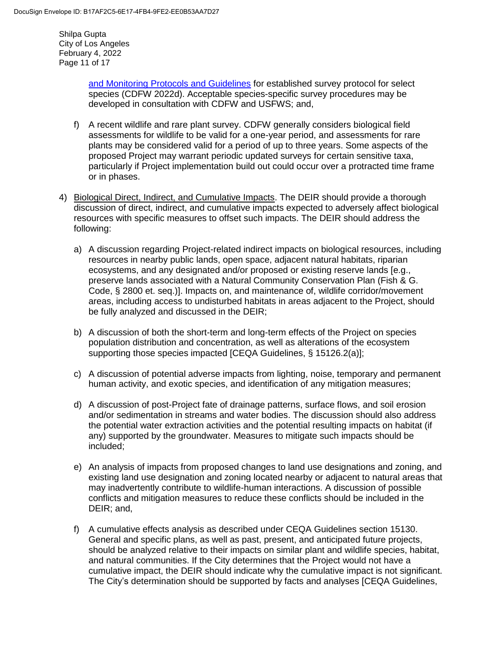Shilpa Gupta City of Los Angeles February 4, 2022 Page 11 of 17

> [and Monitoring Protocols and Guidelines](https://wildlife.ca.gov/conservation/survey-protocols) for established survey protocol for select species (CDFW 2022d). Acceptable species-specific survey procedures may be developed in consultation with CDFW and USFWS; and,

- f) A recent wildlife and rare plant survey. CDFW generally considers biological field assessments for wildlife to be valid for a one-year period, and assessments for rare plants may be considered valid for a period of up to three years. Some aspects of the proposed Project may warrant periodic updated surveys for certain sensitive taxa, particularly if Project implementation build out could occur over a protracted time frame or in phases.
- 4) Biological Direct, Indirect, and Cumulative Impacts. The DEIR should provide a thorough discussion of direct, indirect, and cumulative impacts expected to adversely affect biological resources with specific measures to offset such impacts. The DEIR should address the following:
	- a) A discussion regarding Project-related indirect impacts on biological resources, including resources in nearby public lands, open space, adjacent natural habitats, riparian ecosystems, and any designated and/or proposed or existing reserve lands [e.g., preserve lands associated with a Natural Community Conservation Plan (Fish & G. Code, § 2800 et. seq.)]. Impacts on, and maintenance of, wildlife corridor/movement areas, including access to undisturbed habitats in areas adjacent to the Project, should be fully analyzed and discussed in the DEIR;
	- b) A discussion of both the short-term and long-term effects of the Project on species population distribution and concentration, as well as alterations of the ecosystem supporting those species impacted [CEQA Guidelines, § 15126.2(a)];
	- c) A discussion of potential adverse impacts from lighting, noise, temporary and permanent human activity, and exotic species, and identification of any mitigation measures;
	- d) A discussion of post-Project fate of drainage patterns, surface flows, and soil erosion and/or sedimentation in streams and water bodies. The discussion should also address the potential water extraction activities and the potential resulting impacts on habitat (if any) supported by the groundwater. Measures to mitigate such impacts should be included;
	- e) An analysis of impacts from proposed changes to land use designations and zoning, and existing land use designation and zoning located nearby or adjacent to natural areas that may inadvertently contribute to wildlife-human interactions. A discussion of possible conflicts and mitigation measures to reduce these conflicts should be included in the DEIR; and,
	- f) A cumulative effects analysis as described under CEQA Guidelines section 15130. General and specific plans, as well as past, present, and anticipated future projects, should be analyzed relative to their impacts on similar plant and wildlife species, habitat, and natural communities. If the City determines that the Project would not have a cumulative impact, the DEIR should indicate why the cumulative impact is not significant. The City's determination should be supported by facts and analyses [CEQA Guidelines,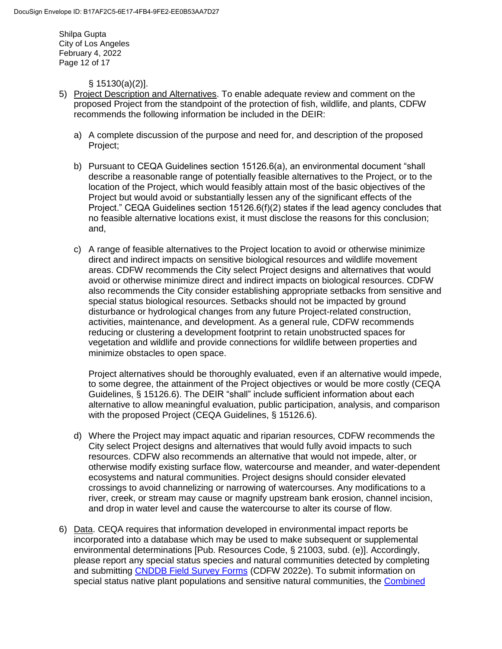Shilpa Gupta City of Los Angeles February 4, 2022 Page 12 of 17

§ 15130(a)(2)].

- 5) Project Description and Alternatives. To enable adequate review and comment on the proposed Project from the standpoint of the protection of fish, wildlife, and plants, CDFW recommends the following information be included in the DEIR:
	- a) A complete discussion of the purpose and need for, and description of the proposed Project;
	- b) Pursuant to CEQA Guidelines section 15126.6(a), an environmental document "shall describe a reasonable range of potentially feasible alternatives to the Project, or to the location of the Project, which would feasibly attain most of the basic objectives of the Project but would avoid or substantially lessen any of the significant effects of the Project." CEQA Guidelines section 15126.6(f)(2) states if the lead agency concludes that no feasible alternative locations exist, it must disclose the reasons for this conclusion; and,
	- c) A range of feasible alternatives to the Project location to avoid or otherwise minimize direct and indirect impacts on sensitive biological resources and wildlife movement areas. CDFW recommends the City select Project designs and alternatives that would avoid or otherwise minimize direct and indirect impacts on biological resources. CDFW also recommends the City consider establishing appropriate setbacks from sensitive and special status biological resources. Setbacks should not be impacted by ground disturbance or hydrological changes from any future Project-related construction, activities, maintenance, and development. As a general rule, CDFW recommends reducing or clustering a development footprint to retain unobstructed spaces for vegetation and wildlife and provide connections for wildlife between properties and minimize obstacles to open space.

Project alternatives should be thoroughly evaluated, even if an alternative would impede, to some degree, the attainment of the Project objectives or would be more costly (CEQA Guidelines, § 15126.6). The DEIR "shall" include sufficient information about each alternative to allow meaningful evaluation, public participation, analysis, and comparison with the proposed Project (CEQA Guidelines, § 15126.6).

- d) Where the Project may impact aquatic and riparian resources, CDFW recommends the City select Project designs and alternatives that would fully avoid impacts to such resources. CDFW also recommends an alternative that would not impede, alter, or otherwise modify existing surface flow, watercourse and meander, and water-dependent ecosystems and natural communities. Project designs should consider elevated crossings to avoid channelizing or narrowing of watercourses. Any modifications to a river, creek, or stream may cause or magnify upstream bank erosion, channel incision, and drop in water level and cause the watercourse to alter its course of flow.
- 6) Data. CEQA requires that information developed in environmental impact reports be incorporated into a database which may be used to make subsequent or supplemental environmental determinations [Pub. Resources Code, § 21003, subd. (e)]. Accordingly, please report any special status species and natural communities detected by completing and submitting [CNDDB Field Survey Forms](https://wildlife.ca.gov/Data/CNDDB/Submitting-Data) (CDFW 2022e). To submit information on special status native plant populations and sensitive natural communities, the Combined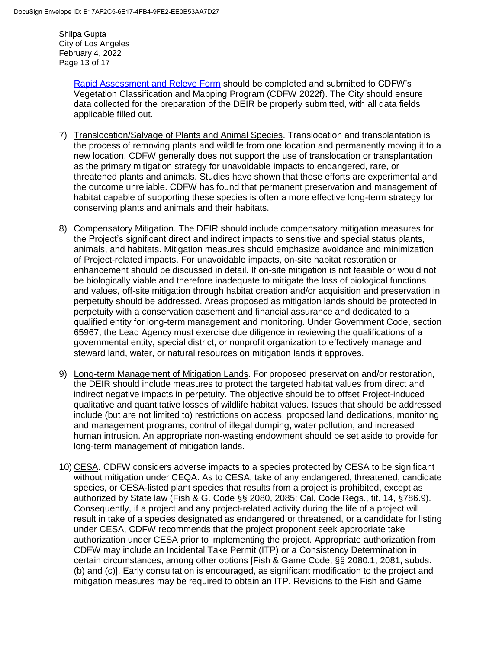Shilpa Gupta City of Los Angeles February 4, 2022 Page 13 of 17

> [Rapid Assessment and Releve Form](https://wildlife.ca.gov/Data/VegCAMP/Natural-Communities/Submit) should be completed and submitted to CDFW's Vegetation Classification and Mapping Program (CDFW 2022f). The City should ensure data collected for the preparation of the DEIR be properly submitted, with all data fields applicable filled out.

- 7) Translocation/Salvage of Plants and Animal Species. Translocation and transplantation is the process of removing plants and wildlife from one location and permanently moving it to a new location. CDFW generally does not support the use of translocation or transplantation as the primary mitigation strategy for unavoidable impacts to endangered, rare, or threatened plants and animals. Studies have shown that these efforts are experimental and the outcome unreliable. CDFW has found that permanent preservation and management of habitat capable of supporting these species is often a more effective long-term strategy for conserving plants and animals and their habitats.
- 8) Compensatory Mitigation. The DEIR should include compensatory mitigation measures for the Project's significant direct and indirect impacts to sensitive and special status plants, animals, and habitats. Mitigation measures should emphasize avoidance and minimization of Project-related impacts. For unavoidable impacts, on-site habitat restoration or enhancement should be discussed in detail. If on-site mitigation is not feasible or would not be biologically viable and therefore inadequate to mitigate the loss of biological functions and values, off-site mitigation through habitat creation and/or acquisition and preservation in perpetuity should be addressed. Areas proposed as mitigation lands should be protected in perpetuity with a conservation easement and financial assurance and dedicated to a qualified entity for long-term management and monitoring. Under Government Code, section 65967, the Lead Agency must exercise due diligence in reviewing the qualifications of a governmental entity, special district, or nonprofit organization to effectively manage and steward land, water, or natural resources on mitigation lands it approves.
- 9) Long-term Management of Mitigation Lands. For proposed preservation and/or restoration, the DEIR should include measures to protect the targeted habitat values from direct and indirect negative impacts in perpetuity. The objective should be to offset Project-induced qualitative and quantitative losses of wildlife habitat values. Issues that should be addressed include (but are not limited to) restrictions on access, proposed land dedications, monitoring and management programs, control of illegal dumping, water pollution, and increased human intrusion. An appropriate non-wasting endowment should be set aside to provide for long-term management of mitigation lands.
- 10) CESA. CDFW considers adverse impacts to a species protected by CESA to be significant without mitigation under CEQA. As to CESA, take of any endangered, threatened, candidate species, or CESA-listed plant species that results from a project is prohibited, except as authorized by State law (Fish & G. Code §§ 2080, 2085; Cal. Code Regs., tit. 14, §786.9). Consequently, if a project and any project-related activity during the life of a project will result in take of a species designated as endangered or threatened, or a candidate for listing under CESA, CDFW recommends that the project proponent seek appropriate take authorization under CESA prior to implementing the project. Appropriate authorization from CDFW may include an Incidental Take Permit (ITP) or a Consistency Determination in certain circumstances, among other options [Fish & Game Code, §§ 2080.1, 2081, subds. (b) and (c)]. Early consultation is encouraged, as significant modification to the project and mitigation measures may be required to obtain an ITP. Revisions to the Fish and Game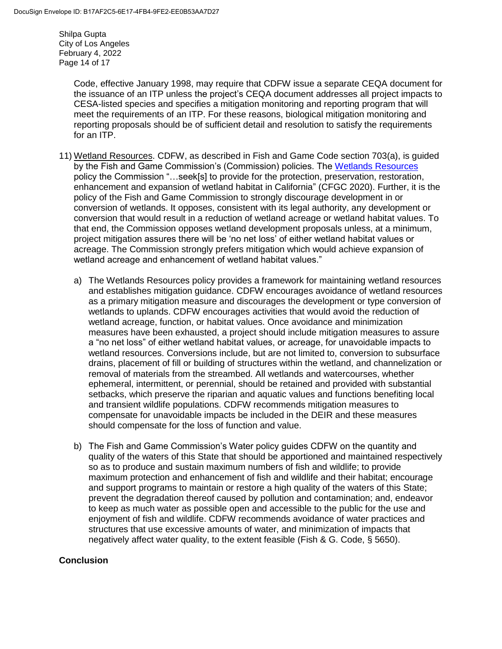Shilpa Gupta City of Los Angeles February 4, 2022 Page 14 of 17

> Code, effective January 1998, may require that CDFW issue a separate CEQA document for the issuance of an ITP unless the project's CEQA document addresses all project impacts to CESA-listed species and specifies a mitigation monitoring and reporting program that will meet the requirements of an ITP. For these reasons, biological mitigation monitoring and reporting proposals should be of sufficient detail and resolution to satisfy the requirements for an ITP.

- 11) Wetland Resources. CDFW, as described in Fish and Game Code section 703(a), is guided by the Fish and Game Commission's (Commission) policies. The [Wetlands Resources](https://fgc.ca.gov/About/Policies/Miscellaneous) policy the Commission "…seek[s] to provide for the protection, preservation, restoration, enhancement and expansion of wetland habitat in California" (CFGC 2020). Further, it is the policy of the Fish and Game Commission to strongly discourage development in or conversion of wetlands. It opposes, consistent with its legal authority, any development or conversion that would result in a reduction of wetland acreage or wetland habitat values. To that end, the Commission opposes wetland development proposals unless, at a minimum, project mitigation assures there will be 'no net loss' of either wetland habitat values or acreage. The Commission strongly prefers mitigation which would achieve expansion of wetland acreage and enhancement of wetland habitat values."
	- a) The Wetlands Resources policy provides a framework for maintaining wetland resources and establishes mitigation guidance. CDFW encourages avoidance of wetland resources as a primary mitigation measure and discourages the development or type conversion of wetlands to uplands. CDFW encourages activities that would avoid the reduction of wetland acreage, function, or habitat values. Once avoidance and minimization measures have been exhausted, a project should include mitigation measures to assure a "no net loss" of either wetland habitat values, or acreage, for unavoidable impacts to wetland resources. Conversions include, but are not limited to, conversion to subsurface drains, placement of fill or building of structures within the wetland, and channelization or removal of materials from the streambed. All wetlands and watercourses, whether ephemeral, intermittent, or perennial, should be retained and provided with substantial setbacks, which preserve the riparian and aquatic values and functions benefiting local and transient wildlife populations. CDFW recommends mitigation measures to compensate for unavoidable impacts be included in the DEIR and these measures should compensate for the loss of function and value.
	- b) The Fish and Game Commission's Water policy guides CDFW on the quantity and quality of the waters of this State that should be apportioned and maintained respectively so as to produce and sustain maximum numbers of fish and wildlife; to provide maximum protection and enhancement of fish and wildlife and their habitat; encourage and support programs to maintain or restore a high quality of the waters of this State; prevent the degradation thereof caused by pollution and contamination; and, endeavor to keep as much water as possible open and accessible to the public for the use and enjoyment of fish and wildlife. CDFW recommends avoidance of water practices and structures that use excessive amounts of water, and minimization of impacts that negatively affect water quality, to the extent feasible (Fish & G. Code, § 5650).

## **Conclusion**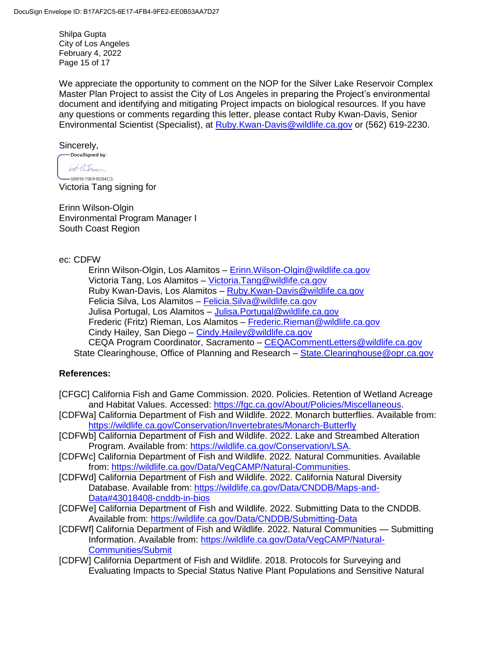Shilpa Gupta City of Los Angeles February 4, 2022 Page 15 of 17

We appreciate the opportunity to comment on the NOP for the Silver Lake Reservoir Complex Master Plan Project to assist the City of Los Angeles in preparing the Project's environmental document and identifying and mitigating Project impacts on biological resources. If you have any questions or comments regarding this letter, please contact Ruby Kwan-Davis, Senior Environmental Scientist (Specialist), at [Ruby.Kwan-Davis@wildlife.ca.gov](mailto:Ruby.Kwan-Davis@wildlife.ca.gov) or (562) 619-2230.

 $Sincerely,$ <br>  $Docusigned by:$ 

hot litr -5991F19FF8094C3

Victoria Tang signing for

Erinn Wilson-Olgin Environmental Program Manager I South Coast Region

### ec: CDFW

Erinn Wilson-Olgin, Los Alamitos - Erinn. Wilson-Olgin@wildlife.ca.gov Victoria Tang, Los Alamitos – [Victoria.Tang@wildlife.ca.gov](mailto:Victoria.Tang@wildlife.ca.gov) Ruby Kwan-Davis, Los Alamitos - Ruby. Kwan-Davis @wildlife.ca.gov Felicia Silva, Los Alamitos - Felicia. Silva@wildlife.ca.gov Julisa Portugal, Los Alamitos - Julisa. Portugal@wildlife.ca.gov Frederic (Fritz) Rieman, Los Alamitos – [Frederic.Rieman@wildlife.ca.gov](mailto:Frederic.Rieman@wildlife.ca.gov) Cindy Hailey, San Diego – [Cindy.Hailey@wildlife.ca.gov](mailto:Cindy.Hailey@wildlife.ca.gov) CEQA Program Coordinator, Sacramento – [CEQACommentLetters@wildlife.ca.gov](mailto:CEQACommentLetters@wildlife.ca.gov)  State Clearinghouse, Office of Planning and Research – State. Clearinghouse @opr.ca.gov

## **References:**

- [CFGC] California Fish and Game Commission. 2020. Policies. Retention of Wetland Acreage and Habitat Values. Accessed: [https://fgc.ca.gov/About/Policies/Miscellaneous.](https://fgc.ca.gov/About/Policies/Miscellaneous)
- [CDFWa] California Department of Fish and Wildlife. 2022. Monarch butterflies. Available from: <https://wildlife.ca.gov/Conservation/Invertebrates/Monarch-Butterfly>
- [CDFWb] California Department of Fish and Wildlife. 2022. Lake and Streambed Alteration Program. Available from: [https://wildlife.ca.gov/Conservation/LSA.](https://wildlife.ca.gov/Conservation/LSA)
- [CDFWc] California Department of Fish and Wildlife. 2022. Natural Communities. Available from: [https://wildlife.ca.gov/Data/VegCAMP/Natural-Communities.](https://wildlife.ca.gov/Data/VegCAMP/Natural-Communities)
- [CDFWd] California Department of Fish and Wildlife. 2022. California Natural Diversity Database. Available from: [https://wildlife.ca.gov/Data/CNDDB/Maps-and-](https://wildlife.ca.gov/Data/CNDDB/Maps-and-Data#43018408-cnddb-in-bios)[Data#43018408-cnddb-in-bios](https://wildlife.ca.gov/Data/CNDDB/Maps-and-Data#43018408-cnddb-in-bios)
- [CDFWe] California Department of Fish and Wildlife. 2022. Submitting Data to the CNDDB. Available from:<https://wildlife.ca.gov/Data/CNDDB/Submitting-Data>
- [CDFWf] California Department of Fish and Wildlife. 2022. Natural Communities Submitting Information. Available from: [https://wildlife.ca.gov/Data/VegCAMP/Natural-](https://wildlife.ca.gov/Data/VegCAMP/Natural-Communities/Submit)[Communities/Submit](https://wildlife.ca.gov/Data/VegCAMP/Natural-Communities/Submit)
- [CDFW] California Department of Fish and Wildlife. 2018. Protocols for Surveying and Evaluating Impacts to Special Status Native Plant Populations and Sensitive Natural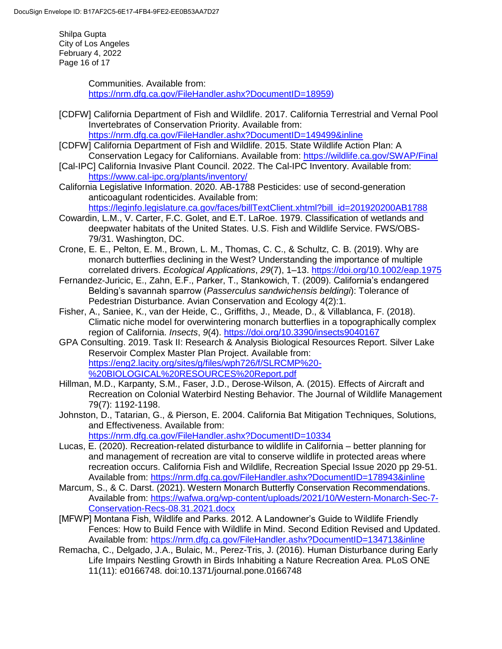Shilpa Gupta City of Los Angeles February 4, 2022 Page 16 of 17

> Communities. Available from: [https://nrm.dfg.ca.gov/FileHandler.ashx?DocumentID=18959\)](https://nrm.dfg.ca.gov/FileHandler.ashx?DocumentID=18959)

- [CDFW] California Department of Fish and Wildlife. 2017. California Terrestrial and Vernal Pool Invertebrates of Conservation Priority. Available from: <https://nrm.dfg.ca.gov/FileHandler.ashx?DocumentID=149499&inline>
- [CDFW] California Department of Fish and Wildlife. 2015. State Wildlife Action Plan: A Conservation Legacy for Californians. Available from:<https://wildlife.ca.gov/SWAP/Final>
- [Cal-IPC] California Invasive Plant Council. 2022. The Cal-IPC Inventory. Available from: <https://www.cal-ipc.org/plants/inventory/>
- California Legislative Information. 2020. AB-1788 Pesticides: use of second-generation anticoagulant rodenticides. Available from: [https://leginfo.legislature.ca.gov/faces/billTextClient.xhtml?bill\\_id=201920200AB1788](https://leginfo.legislature.ca.gov/faces/billTextClient.xhtml?bill_id=201920200AB1788)
- Cowardin, L.M., V. Carter, F.C. Golet, and E.T. LaRoe. 1979. Classification of wetlands and deepwater habitats of the United States. U.S. Fish and Wildlife Service. FWS/OBS-79/31. Washington, DC.
- Crone, E. E., Pelton, E. M., Brown, L. M., Thomas, C. C., & Schultz, C. B. (2019). Why are monarch butterflies declining in the West? Understanding the importance of multiple correlated drivers. *Ecological Applications*, *29*(7), 1–13.<https://doi.org/10.1002/eap.1975>
- Fernandez-Juricic, E., Zahn, E.F., Parker, T., Stankowich, T. (2009). California's endangered Belding's savannah sparrow (*Passerculus sandwichensis beldingi*): Tolerance of Pedestrian Disturbance. Avian Conservation and Ecology 4(2):1.
- Fisher, A., Saniee, K., van der Heide, C., Griffiths, J., Meade, D., & Villablanca, F. (2018). Climatic niche model for overwintering monarch butterflies in a topographically complex region of California. *Insects*, *9*(4).<https://doi.org/10.3390/insects9040167>
- GPA Consulting. 2019. Task II: Research & Analysis Biological Resources Report. Silver Lake Reservoir Complex Master Plan Project. Available from: [https://eng2.lacity.org/sites/g/files/wph726/f/SLRCMP%20-](https://eng2.lacity.org/sites/g/files/wph726/f/SLRCMP%20-%20BIOLOGICAL%20RESOURCES%20Report.pdf) [%20BIOLOGICAL%20RESOURCES%20Report.pdf](https://eng2.lacity.org/sites/g/files/wph726/f/SLRCMP%20-%20BIOLOGICAL%20RESOURCES%20Report.pdf)
- Hillman, M.D., Karpanty, S.M., Faser, J.D., Derose-Wilson, A. (2015). Effects of Aircraft and Recreation on Colonial Waterbird Nesting Behavior. The Journal of Wildlife Management 79(7): 1192-1198.
- Johnston, D., Tatarian, G., & Pierson, E. 2004. California Bat Mitigation Techniques, Solutions, and Effectiveness. Available from: <https://nrm.dfg.ca.gov/FileHandler.ashx?DocumentID=10334>
- Lucas, E. (2020). Recreation-related disturbance to wildlife in California better planning for and management of recreation are vital to conserve wildlife in protected areas where recreation occurs. California Fish and Wildlife, Recreation Special Issue 2020 pp 29-51. Available from:<https://nrm.dfg.ca.gov/FileHandler.ashx?DocumentID=178943&inline>
- Marcum, S., & C. Darst. (2021). Western Monarch Butterfly Conservation Recommendations. Available from: [https://wafwa.org/wp-content/uploads/2021/10/Western-Monarch-Sec-7-](https://wafwa.org/wp-content/uploads/2021/10/Western-Monarch-Sec-7-Conservation-Recs-08.31.2021.docx) [Conservation-Recs-08.31.2021.docx](https://wafwa.org/wp-content/uploads/2021/10/Western-Monarch-Sec-7-Conservation-Recs-08.31.2021.docx)
- [MFWP] Montana Fish, Wildlife and Parks. 2012. A Landowner's Guide to Wildlife Friendly Fences: How to Build Fence with Wildlife in Mind. Second Edition Revised and Updated. Available from:<https://nrm.dfg.ca.gov/FileHandler.ashx?DocumentID=134713&inline>
- Remacha, C., Delgado, J.A., Bulaic, M., Perez-Tris, J. (2016). Human Disturbance during Early Life Impairs Nestling Growth in Birds Inhabiting a Nature Recreation Area. PLoS ONE 11(11): e0166748. doi:10.1371/journal.pone.0166748